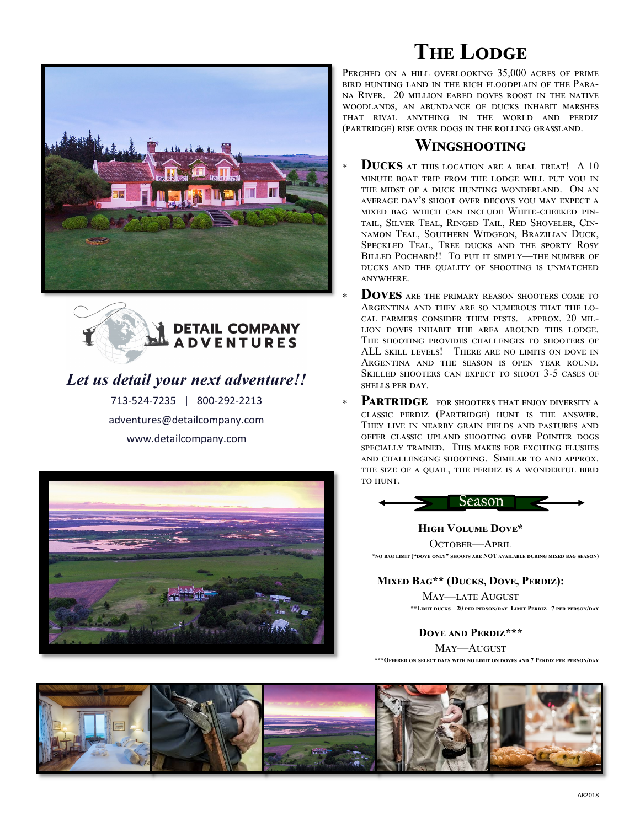



## *Let us detail your next adventure!!*

713-524-7235 | 800-292-2213 adventures@detailcompany.com www.detailcompany.com



# **THE LODGE**

Perched on a hill overlooking 35,000 acres of prime bird hunting land in the rich floodplain of the Parana River. 20 million eared doves roost in the native woodlands, an abundance of ducks inhabit marshes that rival anything in the world and perdiz (partridge) rise over dogs in the rolling grassland.

### **Wingshooting**

- **Ducks** at this location are a real treat! A 10 minute boat trip from the lodge will put you in the midst of a duck hunting wonderland. On an average day's shoot over decoys you may expect a mixed bag which can include White-cheeked pintail, Silver Teal, Ringed Tail, Red Shoveler, Cinnamon Teal, Southern Widgeon, Brazilian Duck, Speckled Teal, Tree ducks and the sporty Rosy BILLED POCHARD!! TO PUT IT SIMPLY-THE NUMBER OF ducks and the quality of shooting is unmatched anywhere.
- **DOVES** ARE THE PRIMARY REASON SHOOTERS COME TO Argentina and they are so numerous that the local farmers consider them pests. approx. 20 million doves inhabit the area around this lodge. The shooting provides challenges to shooters of ALL skill levels! There are no limits on dove in Argentina and the season is open year round. Skilled shooters can expect to shoot 3-5 cases of shells per day.
- PARTRIDGE FOR SHOOTERS THAT ENJOY DIVERSITY A classic perdiz (Partridge) hunt is the answer. They live in nearby grain fields and pastures and offer classic upland shooting over Pointer dogs specially trained. This makes for exciting flushes and challenging shooting. Similar to and approx. the size of a quail, the perdiz is a wonderful bird to hunt.



**High Volume Dove\***  OCTOBER-APRIL **\*no bag limit ("dove only" shoots are NOT available during mixed bag season)**

#### **Mixed Bag\*\* (Ducks, Dove, Perdiz):**

May—late August **\*\*Limit ducks—20 per person/day Limit Perdiz– 7 per person/day**

**Dove and Perdiz\*\*\***  May—August

**\*\*\*Offered on select days with no limit on doves and 7 Perdiz per person/day**